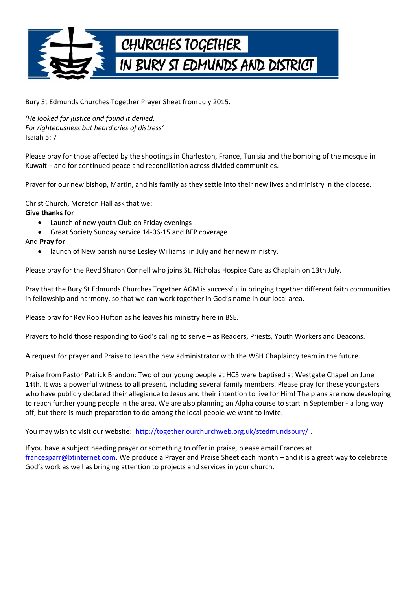

Bury St Edmunds Churches Together Prayer Sheet from July 2015.

*'He looked for justice and found it denied, For righteousness but heard cries of distress'* Isaiah 5: 7

Please pray for those affected by the shootings in Charleston, France, Tunisia and the bombing of the mosque in Kuwait – and for continued peace and reconciliation across divided communities.

Prayer for our new bishop, Martin, and his family as they settle into their new lives and ministry in the diocese.

Christ Church, Moreton Hall ask that we:

## **Give thanks for**

- Launch of new youth Club on Friday evenings
- Great Society Sunday service 14-06-15 and BFP coverage

## And **Pray for**

launch of New parish nurse Lesley Williams in July and her new ministry.

Please pray for the Revd Sharon Connell who joins St. Nicholas Hospice Care as Chaplain on 13th July.

Pray that the Bury St Edmunds Churches Together AGM is successful in bringing together different faith communities in fellowship and harmony, so that we can work together in God's name in our local area.

Please pray for Rev Rob Hufton as he leaves his ministry here in BSE.

Prayers to hold those responding to God's calling to serve – as Readers, Priests, Youth Workers and Deacons.

A request for prayer and Praise to Jean the new administrator with the WSH Chaplaincy team in the future.

Praise from Pastor Patrick Brandon: Two of our young people at HC3 were baptised at Westgate Chapel on June 14th. It was a powerful witness to all present, including several family members. Please pray for these youngsters who have publicly declared their allegiance to Jesus and their intention to live for Him! The plans are now developing to reach further young people in the area. We are also planning an Alpha course to start in September - a long way off, but there is much preparation to do among the local people we want to invite.

You may wish to visit our website: http://together.ourchurchweb.org.uk/stedmundsbury/.

If you have a subject needing prayer or something to offer in praise, please email Frances at [francesparr@btinternet.com.](mailto:francesparr@btinternet.com) We produce a Prayer and Praise Sheet each month – and it is a great way to celebrate God's work as well as bringing attention to projects and services in your church.